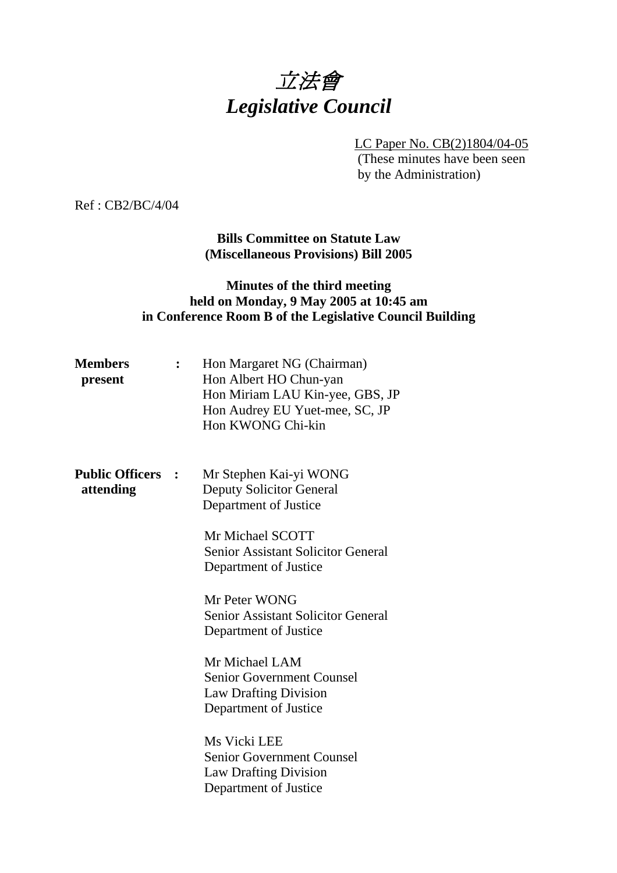# 立法會 *Legislative Council*

LC Paper No. CB(2)1804/04-05

 (These minutes have been seen by the Administration)

Ref : CB2/BC/4/04

**Bills Committee on Statute Law (Miscellaneous Provisions) Bill 2005** 

# **Minutes of the third meeting held on Monday, 9 May 2005 at 10:45 am in Conference Room B of the Legislative Council Building**

| <b>Members</b><br>present           |                | Hon Margaret NG (Chairman)<br>Hon Albert HO Chun-yan<br>Hon Miriam LAU Kin-yee, GBS, JP<br>Hon Audrey EU Yuet-mee, SC, JP<br>Hon KWONG Chi-kin      |
|-------------------------------------|----------------|-----------------------------------------------------------------------------------------------------------------------------------------------------|
| <b>Public Officers</b><br>attending | $\ddot{\cdot}$ | Mr Stephen Kai-yi WONG<br><b>Deputy Solicitor General</b><br>Department of Justice<br>Mr Michael SCOTT<br><b>Senior Assistant Solicitor General</b> |
|                                     |                | Department of Justice<br>Mr Peter WONG<br><b>Senior Assistant Solicitor General</b><br>Department of Justice                                        |
|                                     |                | Mr Michael LAM<br><b>Senior Government Counsel</b><br><b>Law Drafting Division</b><br>Department of Justice                                         |
|                                     |                | Ms Vicki LEE<br>Senior Government Counsel<br><b>Law Drafting Division</b><br>Department of Justice                                                  |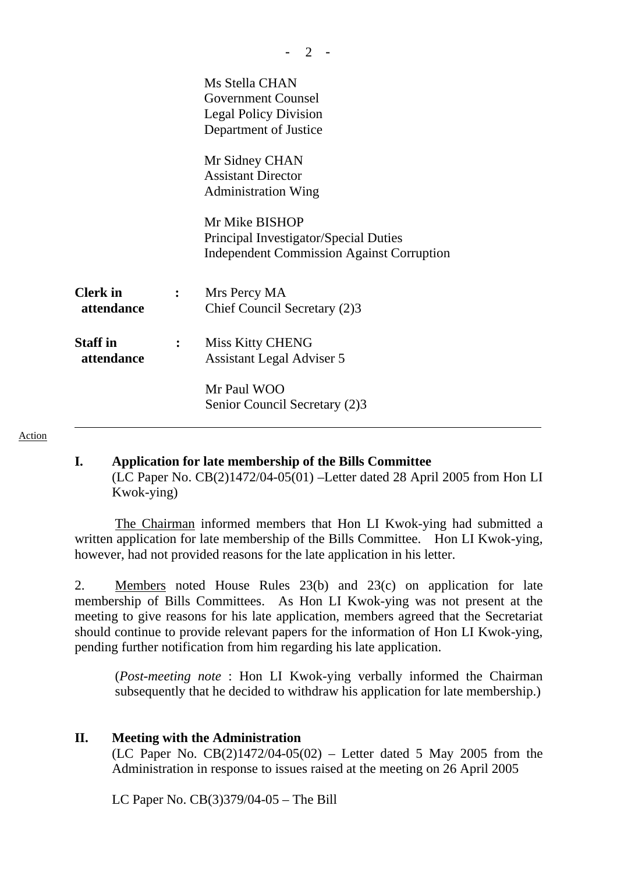|                                               |              | Ms Stella CHAN<br><b>Government Counsel</b><br><b>Legal Policy Division</b><br>Department of Justice<br>Mr Sidney CHAN<br><b>Assistant Director</b><br><b>Administration Wing</b><br>Mr Mike BISHOP<br>Principal Investigator/Special Duties<br><b>Independent Commission Against Corruption</b> |
|-----------------------------------------------|--------------|--------------------------------------------------------------------------------------------------------------------------------------------------------------------------------------------------------------------------------------------------------------------------------------------------|
| <b>Clerk</b> in<br>attendance                 | $\mathbf{L}$ | Mrs Percy MA<br>Chief Council Secretary (2)3                                                                                                                                                                                                                                                     |
| <b>Staff</b> in<br>$\mathbf{L}$<br>attendance |              | <b>Miss Kitty CHENG</b><br><b>Assistant Legal Adviser 5</b><br>Mr Paul WOO                                                                                                                                                                                                                       |
|                                               |              | Senior Council Secretary (2)3                                                                                                                                                                                                                                                                    |

 $- 2 -$ 

Action

#### **I. Application for late membership of the Bills Committee**

(LC Paper No. CB(2)1472/04-05(01) –Letter dated 28 April 2005 from Hon LI Kwok-ying)

1. The Chairman informed members that Hon LI Kwok-ying had submitted a written application for late membership of the Bills Committee. Hon LI Kwok-ying, however, had not provided reasons for the late application in his letter.

2. Members noted House Rules 23(b) and 23(c) on application for late membership of Bills Committees. As Hon LI Kwok-ying was not present at the meeting to give reasons for his late application, members agreed that the Secretariat should continue to provide relevant papers for the information of Hon LI Kwok-ying, pending further notification from him regarding his late application.

 (*Post-meeting note* : Hon LI Kwok-ying verbally informed the Chairman subsequently that he decided to withdraw his application for late membership.)

#### **II. Meeting with the Administration**

(LC Paper No.  $CB(2)1472/04-05(02)$  – Letter dated 5 May 2005 from the Administration in response to issues raised at the meeting on 26 April 2005

LC Paper No. CB(3)379/04-05 – The Bill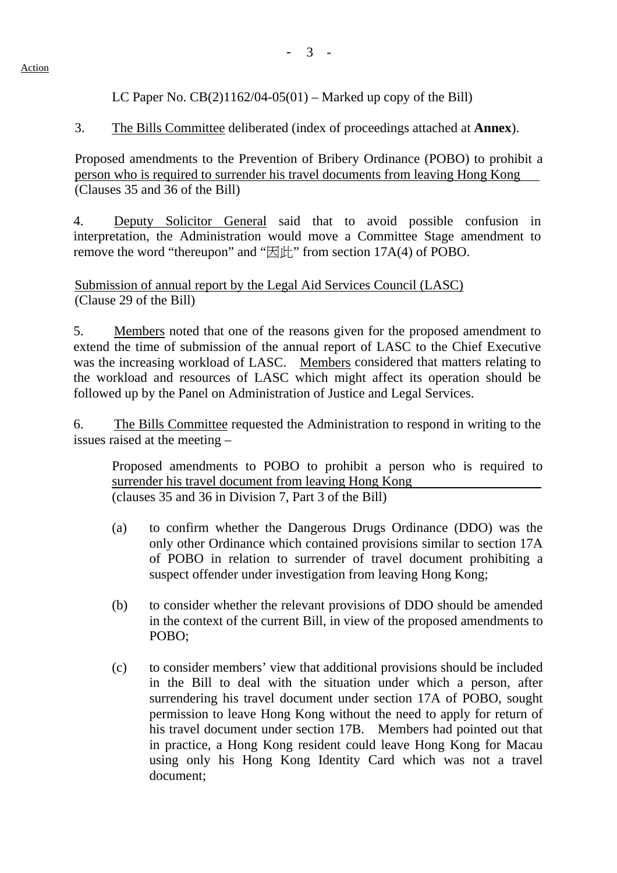LC Paper No.  $CB(2)1162/04-05(01)$  – Marked up copy of the Bill)

3. The Bills Committee deliberated (index of proceedings attached at **Annex**).

Proposed amendments to the Prevention of Bribery Ordinance (POBO) to prohibit a person who is required to surrender his travel documents from leaving Hong Kong (Clauses 35 and 36 of the Bill)

4. Deputy Solicitor General said that to avoid possible confusion in interpretation, the Administration would move a Committee Stage amendment to remove the word "thereupon" and " $\mathbb{E}[\mathbf{H}]$ " from section 17A(4) of POBO.

Submission of annual report by the Legal Aid Services Council (LASC) (Clause 29 of the Bill)

5. Members noted that one of the reasons given for the proposed amendment to extend the time of submission of the annual report of LASC to the Chief Executive was the increasing workload of LASC. Members considered that matters relating to the workload and resources of LASC which might affect its operation should be followed up by the Panel on Administration of Justice and Legal Services.

6. The Bills Committee requested the Administration to respond in writing to the issues raised at the meeting –

Proposed amendments to POBO to prohibit a person who is required to surrender his travel document from leaving Hong Kong (clauses 35 and 36 in Division 7, Part 3 of the Bill)

- (a) to confirm whether the Dangerous Drugs Ordinance (DDO) was the only other Ordinance which contained provisions similar to section 17A of POBO in relation to surrender of travel document prohibiting a suspect offender under investigation from leaving Hong Kong;
- (b) to consider whether the relevant provisions of DDO should be amended in the context of the current Bill, in view of the proposed amendments to POBO;
- (c) to consider members' view that additional provisions should be included in the Bill to deal with the situation under which a person, after surrendering his travel document under section 17A of POBO, sought permission to leave Hong Kong without the need to apply for return of his travel document under section 17B. Members had pointed out that in practice, a Hong Kong resident could leave Hong Kong for Macau using only his Hong Kong Identity Card which was not a travel document;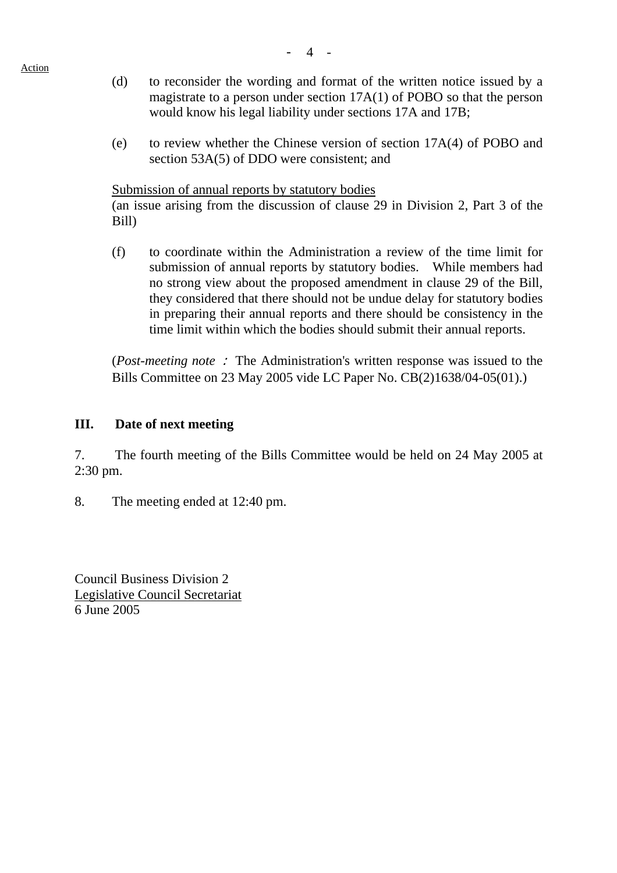Action

- (d) to reconsider the wording and format of the written notice issued by a magistrate to a person under section 17A(1) of POBO so that the person would know his legal liability under sections 17A and 17B;
- (e) to review whether the Chinese version of section 17A(4) of POBO and section 53A(5) of DDO were consistent; and

Submission of annual reports by statutory bodies

 (an issue arising from the discussion of clause 29 in Division 2, Part 3 of the Bill)

(f) to coordinate within the Administration a review of the time limit for submission of annual reports by statutory bodies. While members had no strong view about the proposed amendment in clause 29 of the Bill, they considered that there should not be undue delay for statutory bodies in preparing their annual reports and there should be consistency in the time limit within which the bodies should submit their annual reports.

(*Post-meeting note* : The Administration's written response was issued to the Bills Committee on 23 May 2005 vide LC Paper No. CB(2)1638/04-05(01).)

### **III. Date of next meeting**

7. The fourth meeting of the Bills Committee would be held on 24 May 2005 at 2:30 pm.

8. The meeting ended at 12:40 pm.

Council Business Division 2 Legislative Council Secretariat 6 June 2005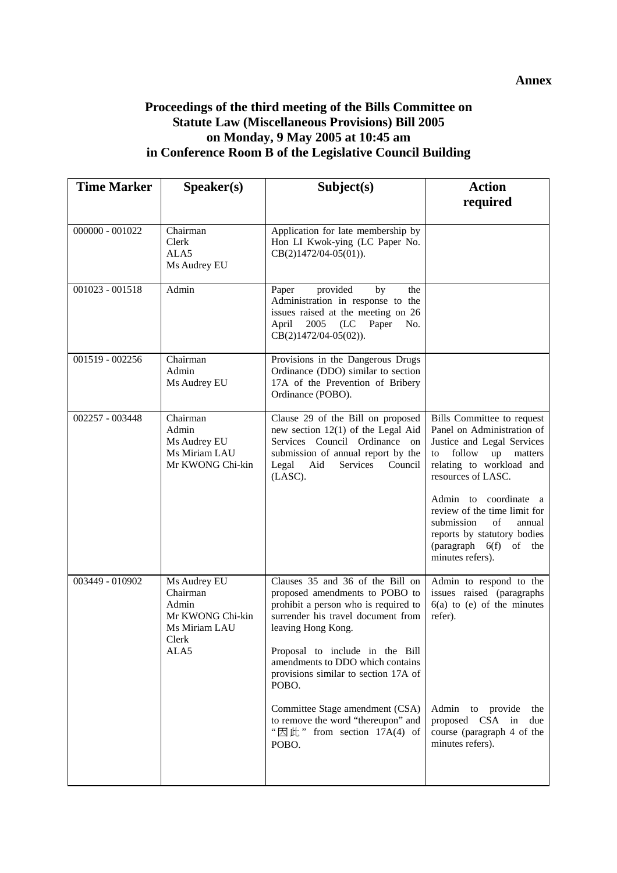#### **Annex**

# **Proceedings of the third meeting of the Bills Committee on Statute Law (Miscellaneous Provisions) Bill 2005 on Monday, 9 May 2005 at 10:45 am in Conference Room B of the Legislative Council Building**

| <b>Time Marker</b> | Speaker(s)                                                                              | Subject(s)                                                                                                                                                                                                | <b>Action</b>                                                                                                                                                                     |
|--------------------|-----------------------------------------------------------------------------------------|-----------------------------------------------------------------------------------------------------------------------------------------------------------------------------------------------------------|-----------------------------------------------------------------------------------------------------------------------------------------------------------------------------------|
|                    |                                                                                         |                                                                                                                                                                                                           | required                                                                                                                                                                          |
| 000000 - 001022    | Chairman<br>Clerk<br>ALA <sub>5</sub><br>Ms Audrey EU                                   | Application for late membership by<br>Hon LI Kwok-ying (LC Paper No.<br>$CB(2)1472/04-05(01)).$                                                                                                           |                                                                                                                                                                                   |
| $001023 - 001518$  | Admin                                                                                   | provided<br>Paper<br>by<br>the<br>Administration in response to the<br>issues raised at the meeting on 26<br>2005 (LC Paper<br>No.<br>April<br>$CB(2)1472/04-05(02)).$                                    |                                                                                                                                                                                   |
| 001519 - 002256    | Chairman<br>Admin<br>Ms Audrey EU                                                       | Provisions in the Dangerous Drugs<br>Ordinance (DDO) similar to section<br>17A of the Prevention of Bribery<br>Ordinance (POBO).                                                                          |                                                                                                                                                                                   |
| 002257 - 003448    | Chairman<br>Admin<br>Ms Audrey EU<br>Ms Miriam LAU<br>Mr KWONG Chi-kin                  | Clause 29 of the Bill on proposed<br>new section $12(1)$ of the Legal Aid<br>Services Council Ordinance on<br>submission of annual report by the<br>Legal<br>Aid<br>Services<br>Council<br>(LASC).        | Bills Committee to request<br>Panel on Administration of<br>Justice and Legal Services<br>follow<br>up<br>matters<br>to<br>relating to workload and<br>resources of LASC.         |
|                    |                                                                                         |                                                                                                                                                                                                           | Admin to coordinate a<br>review of the time limit for<br>submission<br>of<br>annual<br>reports by statutory bodies<br>$\frac{1}{2}$ (paragraph 6(f)<br>of the<br>minutes refers). |
| 003449 - 010902    | Ms Audrey EU<br>Chairman<br>Admin<br>Mr KWONG Chi-kin<br>Ms Miriam LAU<br>Clerk<br>ALA5 | Clauses 35 and 36 of the Bill on<br>proposed amendments to POBO to<br>prohibit a person who is required to<br>surrender his travel document from<br>leaving Hong Kong.<br>Proposal to include in the Bill | Admin to respond to the<br>issues raised (paragraphs<br>$6(a)$ to (e) of the minutes<br>refer).                                                                                   |
|                    |                                                                                         | amendments to DDO which contains<br>provisions similar to section 17A of<br>POBO.                                                                                                                         |                                                                                                                                                                                   |
|                    |                                                                                         | Committee Stage amendment (CSA)<br>to remove the word "thereupon" and<br>" $\boxtimes$ $\&$ " from section 17A(4) of<br>POBO.                                                                             | Admin<br>to provide<br>the<br>proposed CSA in<br>due<br>course (paragraph 4 of the<br>minutes refers).                                                                            |